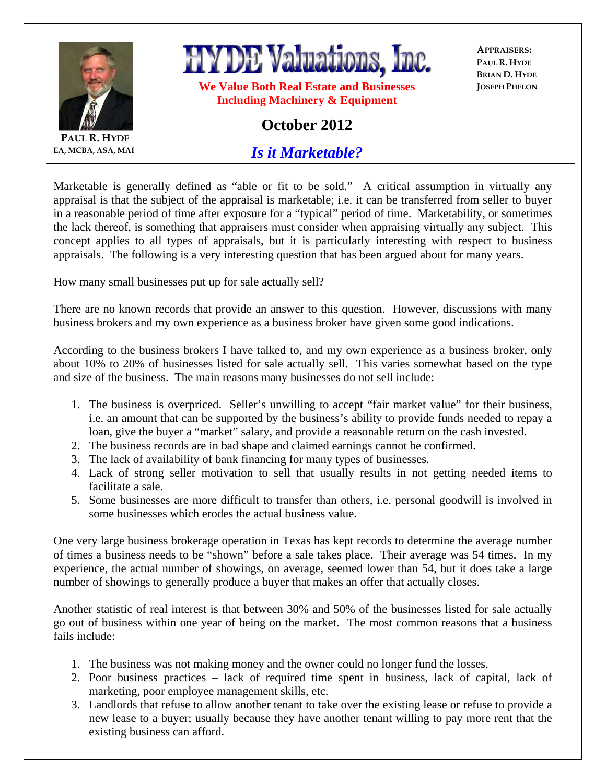

**PAUL R. HYDE EA, MCBA, ASA, MAI**

## **HYDE Valuations, Inc.**

**We Value Both Real Estate and Businesses Including Machinery & Equipment** 

**APPRAISERS: PAUL R. HYDE BRIAN D. HYDE JOSEPH PHELON**

## **October 2012**

*Is it Marketable?*

Marketable is generally defined as "able or fit to be sold." A critical assumption in virtually any appraisal is that the subject of the appraisal is marketable; i.e. it can be transferred from seller to buyer in a reasonable period of time after exposure for a "typical" period of time. Marketability, or sometimes the lack thereof, is something that appraisers must consider when appraising virtually any subject. This concept applies to all types of appraisals, but it is particularly interesting with respect to business appraisals. The following is a very interesting question that has been argued about for many years.

How many small businesses put up for sale actually sell?

There are no known records that provide an answer to this question. However, discussions with many business brokers and my own experience as a business broker have given some good indications.

According to the business brokers I have talked to, and my own experience as a business broker, only about 10% to 20% of businesses listed for sale actually sell. This varies somewhat based on the type and size of the business. The main reasons many businesses do not sell include:

- 1. The business is overpriced. Seller's unwilling to accept "fair market value" for their business, i.e. an amount that can be supported by the business's ability to provide funds needed to repay a loan, give the buyer a "market" salary, and provide a reasonable return on the cash invested.
- 2. The business records are in bad shape and claimed earnings cannot be confirmed.
- 3. The lack of availability of bank financing for many types of businesses.
- 4. Lack of strong seller motivation to sell that usually results in not getting needed items to facilitate a sale.
- 5. Some businesses are more difficult to transfer than others, i.e. personal goodwill is involved in some businesses which erodes the actual business value.

One very large business brokerage operation in Texas has kept records to determine the average number of times a business needs to be "shown" before a sale takes place. Their average was 54 times. In my experience, the actual number of showings, on average, seemed lower than 54, but it does take a large number of showings to generally produce a buyer that makes an offer that actually closes.

Another statistic of real interest is that between 30% and 50% of the businesses listed for sale actually go out of business within one year of being on the market. The most common reasons that a business fails include:

- 1. The business was not making money and the owner could no longer fund the losses.
- 2. Poor business practices lack of required time spent in business, lack of capital, lack of marketing, poor employee management skills, etc.
- 3. Landlords that refuse to allow another tenant to take over the existing lease or refuse to provide a new lease to a buyer; usually because they have another tenant willing to pay more rent that the existing business can afford.